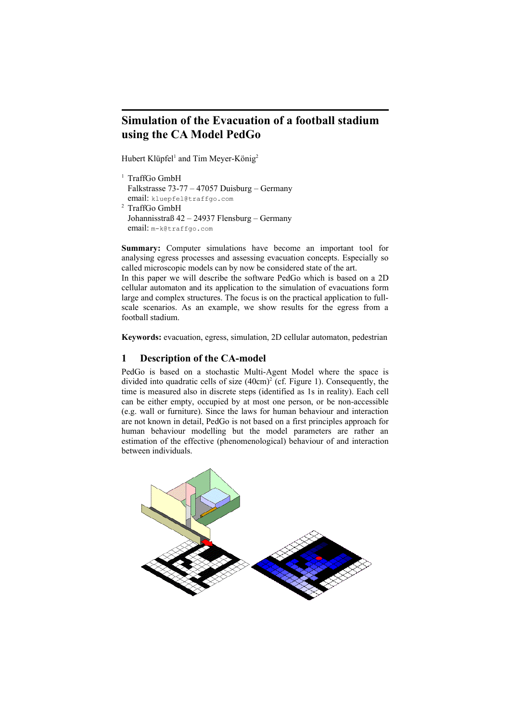# **Simulation of the Evacuation of a football stadium using the CA Model PedGo**

Hubert Klüpfel<sup>1</sup> and Tim Meyer-König<sup>2</sup>

```
<sup>1</sup> TraffGo GmbH
 Falkstrasse 73-77 – 47057 Duisburg – Germany
 email: kluepfel@traffgo.com
2 TraffGo GmbH
 Johannisstraß 42 – 24937 Flensburg – Germany
 email: m-k@traffgo.com
```
**Summary:** Computer simulations have become an important tool for analysing egress processes and assessing evacuation concepts. Especially so called microscopic models can by now be considered state of the art.

In this paper we will describe the software PedGo which is based on a 2D cellular automaton and its application to the simulation of evacuations form large and complex structures. The focus is on the practical application to fullscale scenarios. As an example, we show results for the egress from a football stadium.

**Keywords:** evacuation, egress, simulation, 2D cellular automaton, pedestrian

#### **1 Description of the CA-model**

PedGo is based on a stochastic Multi-Agent Model where the space is divided into quadratic cells of size (40cm) 2 (cf. Figure 1). Consequently, the time is measured also in discrete steps (identified as 1s in reality). Each cell can be either empty, occupied by at most one person, or be non-accessible (e.g. wall or furniture). Since the laws for human behaviour and interaction are not known in detail, PedGo is not based on a first principles approach for human behaviour modelling but the model parameters are rather an estimation of the effective (phenomenological) behaviour of and interaction between individuals.

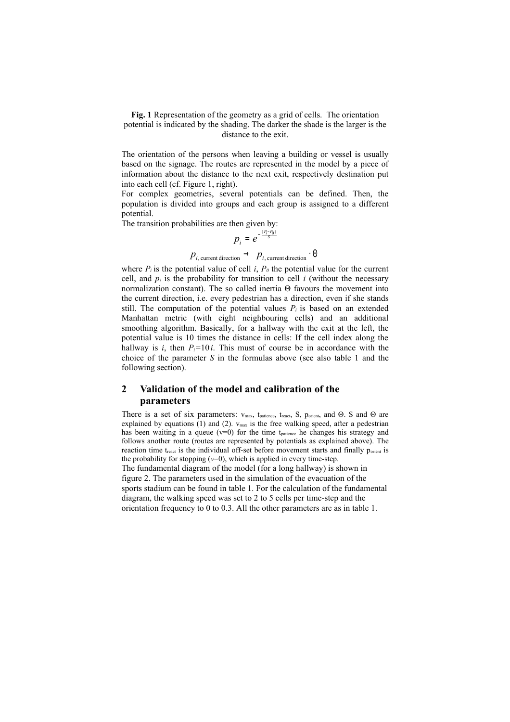<span id="page-1-0"></span>**Fig. 1** Representation of the geometry as a grid of cells. The orientation potential is indicated by the shading. The darker the shade is the larger is the distance to the exit.

The orientation of the persons when leaving a building or vessel is usually based on the signage. The routes are represented in the model by a piece of information about the distance to the next exit, respectively destination put into each cell (cf. Figure 1, right).

For complex geometries, several potentials can be defined. Then, the population is divided into groups and each group is assigned to a different potential.

The transition probabilities are then given by:

$$
p_i = e^{-\frac{(P_i - P_0)}{S}}
$$

 $p_{i, \text{current direction}} \rightarrow p_{i, \text{current direction}} \cdot \Theta$ 

where  $P_i$  is the potential value of cell *i*,  $P_0$  the potential value for the current cell, and  $p_i$  is the probability for transition to cell  $i$  (without the necessary normalization constant). The so called inertia Θ favours the movement into the current direction, i.e. every pedestrian has a direction, even if she stands still. The computation of the potential values  $P_i$  is based on an extended Manhattan metric (with eight neighbouring cells) and an additional smoothing algorithm. Basically, for a hallway with the exit at the left, the potential value is 10 times the distance in cells: If the cell index along the hallway is *i*, then  $P_i = 10i$ . This must of course be in accordance with the choice of the parameter *S* in the formulas above (see also table 1 and the following section).

## **2 Validation of the model and calibration of the parameters**

There is a set of six parameters: vmax, tpatience, treact, S, porient, and Θ. S and Θ are explained by equations (1) and (2).  $v_{\text{max}}$  is the free walking speed, after a pedestrian has been waiting in a queue  $(v=0)$  for the time t<sub>patience</sub> he changes his strategy and follows another route (routes are represented by potentials as explained above). The reaction time t<sub>react</sub> is the individual off-set before movement starts and finally p<sub>orient</sub> is the probability for stopping  $(v=0)$ , which is applied in every time-step. The fundamental diagram of the model (for a long hallway) is shown in figure 2. The parameters used in the simulation of the evacuation of the sports stadium can be found in table 1. For the calculation of the fundamental diagram, the walking speed was set to 2 to 5 cells per time-step and the orientation frequency to 0 to 0.3. All the other parameters are as in table 1.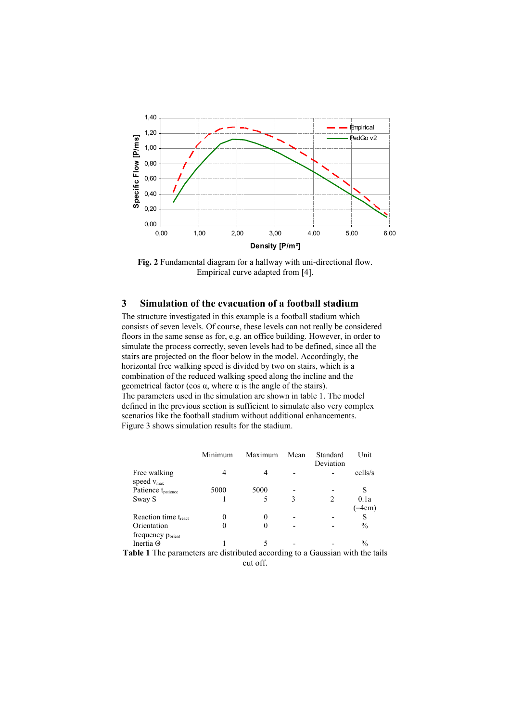

**Fig. 2** Fundamental diagram for a hallway with uni-directional flow. Empirical curve adapted from [\[4](#page-5-0)].

## **3 Simulation of the evacuation of a football stadium**

The structure investigated in this example is a football stadium which consists of seven levels. Of course, these levels can not really be considered floors in the same sense as for, e.g. an office building. However, in order to simulate the process correctly, seven levels had to be defined, since all the stairs are projected on the floor below in the model. Accordingly, the horizontal free walking speed is divided by two on stairs, which is a combination of the reduced walking speed along the incline and the geometrical factor (cos α, where α is the angle of the stairs). The parameters used in the simulation are shown in table 1. The model defined in the previous section is sufficient to simulate also very complex scenarios like the football stadium without additional enhancements. Figure 3 shows simulation results for the stadium.

|                                                                               | Minimum  | Maximum | Mean | Standard<br>Deviation | Unit          |
|-------------------------------------------------------------------------------|----------|---------|------|-----------------------|---------------|
| Free walking<br>speed $v_{\text{max}}$                                        | 4        | 4       |      |                       | cells/s       |
| Patience t <sub>patience</sub>                                                | 5000     | 5000    |      |                       | S             |
| Sway S                                                                        |          |         | 3    |                       | 0.1a          |
|                                                                               |          |         |      |                       | $=4cm)$       |
| Reaction time treact                                                          | 0        | 0       |      |                       | S             |
| Orientation                                                                   | $\Omega$ | 0       |      |                       | $\frac{0}{0}$ |
| frequency p <sub>orient</sub>                                                 |          |         |      |                       |               |
| Inertia $\Theta$                                                              |          | 5       |      |                       | $\frac{0}{0}$ |
| Table 1 The parameters are distributed according to a Gaussian with the tails |          |         |      |                       |               |

cut off.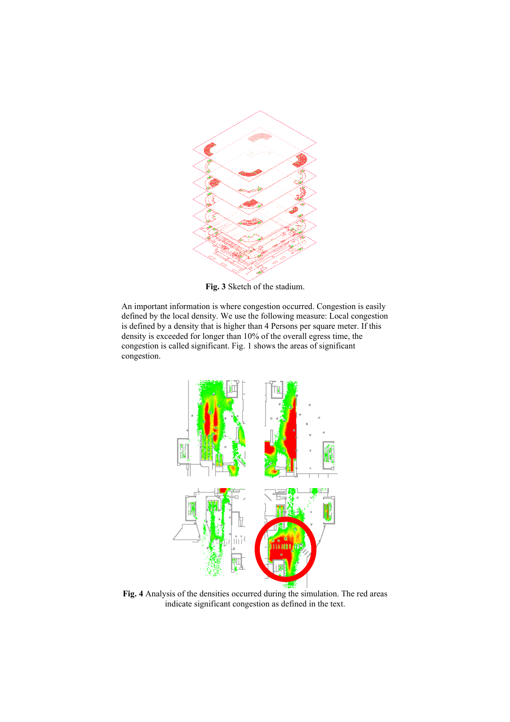

**Fig. 3** Sketch of the stadium.

An important information is where congestion occurred. Congestion is easily defined by the local density. We use the following measure: Local congestion is defined by a density that is higher than 4 Persons per square meter. If this density is exceeded for longer than 10% of the overall egress time, the congestion is called significant. [Fig. 1](#page-1-0) shows the areas of significant congestion.



<span id="page-3-0"></span>**Fig. 4** Analysis of the densities occurred during the simulation. The red areas indicate significant congestion as defined in the text.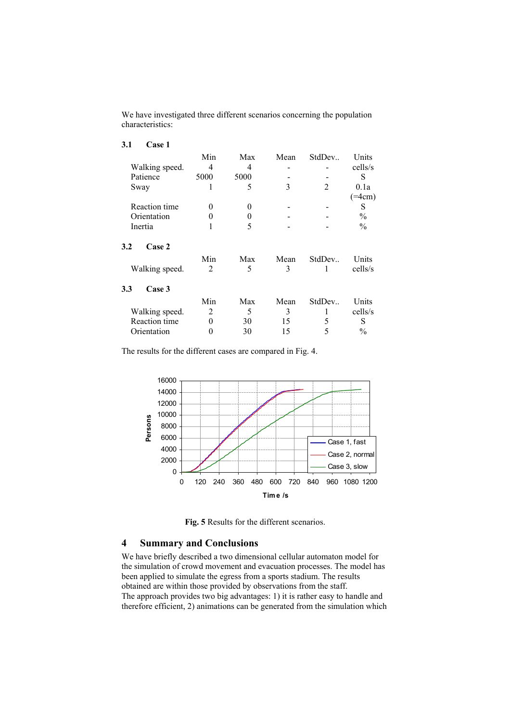We have investigated three different scenarios concerning the population characteristics:

| 3.1<br>Case 1        |                |          |      |                |               |
|----------------------|----------------|----------|------|----------------|---------------|
|                      | Min            | Max      | Mean | StdDev         | Units         |
| Walking speed.       | 4              | 4        |      |                | cells/s       |
| Patience             | 5000           | 5000     |      |                | S             |
| Sway                 | 1              | 5        | 3    | $\mathfrak{D}$ | 0.1a          |
|                      |                |          |      |                | $( = 4cm)$    |
| Reaction time        | 0              | $\theta$ |      |                | S             |
| Orientation          | 0              | $_{0}$   |      |                | $\frac{0}{0}$ |
| Inertia              |                | 5        |      |                | $\frac{0}{0}$ |
| Case 2<br>3.2        |                |          |      |                |               |
|                      | Min            | Max      | Mean | StdDev         | Units         |
| Walking speed.       | $\mathfrak{D}$ | 5        | 3    |                | cells/s       |
| Case 3<br>3.3        |                |          |      |                |               |
|                      | Min            | Max      | Mean | StdDev         | Units         |
| Walking speed.       | $\overline{c}$ | 5        | 3    | 1              | cells/s       |
| <b>Reaction time</b> | 0              | 30       | 15   | 5              | S             |
| Orientation          | 0              | 30       | 15   | 5              | $\frac{0}{0}$ |

The results for the different cases are compared in [Fig. 4](#page-3-0).



**Fig. 5** Results for the different scenarios.

## **4 Summary and Conclusions**

We have briefly described a two dimensional cellular automaton model for the simulation of crowd movement and evacuation processes. The model has been applied to simulate the egress from a sports stadium. The results obtained are within those provided by observations from the staff. The approach provides two big advantages: 1) it is rather easy to handle and therefore efficient, 2) animations can be generated from the simulation which